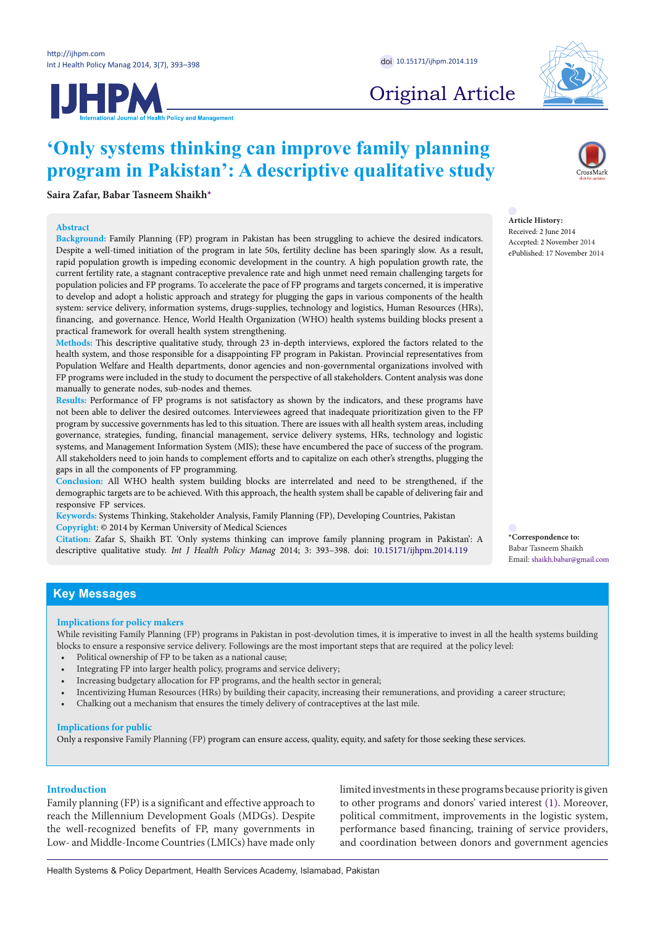

# **JHPM**

Original Article

# **'Only systems thinking can improve family planning program in Pakistan': A descriptive qualitative study**

**Saira Zafar, Babar Tasneem Shaik[h\\*](#page-0-0)**

# **Abstract**

**Background:** Family Planning (FP) program in Pakistan has been struggling to achieve the desired indicators. Despite a well-timed initiation of the program in late 50s, fertility decline has been sparingly slow. As a result, rapid population growth is impeding economic development in the country. A high population growth rate, the current fertility rate, a stagnant contraceptive prevalence rate and high unmet need remain challenging targets for population policies and FP programs. To accelerate the pace of FP programs and targets concerned, it is imperative to develop and adopt a holistic approach and strategy for plugging the gaps in various components of the health system: service delivery, information systems, drugs-supplies, technology and logistics, Human Resources (HRs), financing, and governance. Hence, World Health Organization (WHO) health systems building blocks present a practical framework for overall health system strengthening.

**Methods:** This descriptive qualitative study, through 23 in-depth interviews, explored the factors related to the health system, and those responsible for a disappointing FP program in Pakistan. Provincial representatives from Population Welfare and Health departments, donor agencies and non-governmental organizations involved with FP programs were included in the study to document the perspective of all stakeholders. Content analysis was done manually to generate nodes, sub-nodes and themes.

**Results:** Performance of FP programs is not satisfactory as shown by the indicators, and these programs have not been able to deliver the desired outcomes. Interviewees agreed that inadequate prioritization given to the FP program by successive governments has led to this situation. There are issues with all health system areas, including governance, strategies, funding, financial management, service delivery systems, HRs, technology and logistic systems, and Management Information System (MIS); these have encumbered the pace of success of the program. All stakeholders need to join hands to complement efforts and to capitalize on each other's strengths, plugging the gaps in all the components of FP programming.

**Conclusion:** All WHO health system building blocks are interrelated and need to be strengthened, if the demographic targets are to be achieved. With this approach, the health system shall be capable of delivering fair and responsive FP services.

**Keywords:** Systems Thinking, Stakeholder Analysis, Family Planning (FP), Developing Countries, Pakistan **Copyright:** © 2014 by Kerman University of Medical Sciences

**Citation:** Zafar S, Shaikh BT. 'Only systems thinking can improve family planning program in Pakistan': A descriptive qualitative study. *Int J Health Policy Manag* 2014; 3: 393–398. doi: [10.15171/ijhpm.2014.119](http://dx.doi.org/10.15171/ijhpm.2014.119)

**Article History:** Received: 2 June 2014 Accepted: 2 November 2014 ePublished: 17 November 2014

<span id="page-0-0"></span>**\*Correspondence to:** Babar Tasneem Shaikh Email: shaikh.babar@gmail.com

# **Key Messages**

# **Implications for policy makers**

While revisiting Family Planning (FP) programs in Pakistan in post-devolution times, it is imperative to invest in all the health systems building blocks to ensure a responsive service delivery. Followings are the most important steps that are required at the policy level:

- Political ownership of FP to be taken as a national cause;
- Integrating FP into larger health policy, programs and service delivery;
- Increasing budgetary allocation for FP programs, and the health sector in general;
- Incentivizing Human Resources (HRs) by building their capacity, increasing their remunerations, and providing a career structure;
- Chalking out a mechanism that ensures the timely delivery of contraceptives at the last mile.

# **Implications for public**

Only a responsive Family Planning (FP) program can ensure access, quality, equity, and safety for those seeking these services.

# **Introduction**

Family planning (FP) is a significant and effective approach to reach the Millennium Development Goals (MDGs). Despite the well-recognized benefits of FP, many governments in Low- and Middle-Income Countries (LMICs) have made only limited investments in these programs because priority is given to other programs and donors' varied interest ([1\)](#page-5-0). Moreover, political commitment, improvements in the logistic system, performance based financing, training of service providers, and coordination between donors and government agencies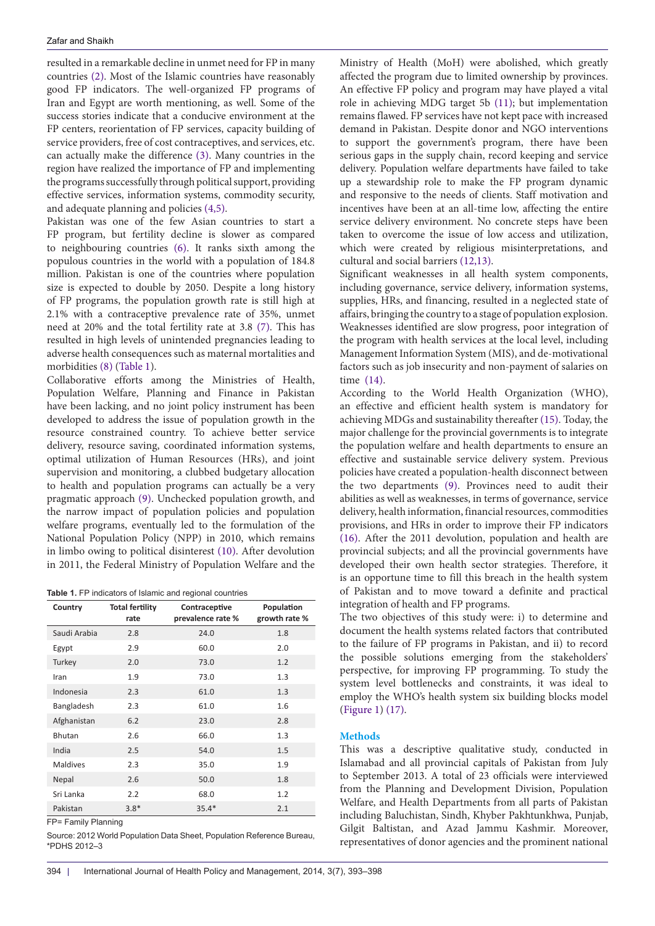resulted in a remarkable decline in unmet need for FP in many countries [\(2](#page-5-9)). Most of the Islamic countries have reasonably good FP indicators. The well-organized FP programs of Iran and Egypt are worth mentioning, as well. Some of the success stories indicate that a conducive environment at the FP centers, reorientation of FP services, capacity building of service providers, free of cost contraceptives, and services, etc. can actually make the difference ([3](#page-5-10)). Many countries in the region have realized the importance of FP and implementing the programs successfully through political support, providing effective services, information systems, commodity security, and adequate planning and policies [\(4](#page-5-11)[,5](#page-5-12)).

Pakistan was one of the few Asian countries to start a FP program, but fertility decline is slower as compared to neighbouring countries [\(6](#page-5-13)). It ranks sixth among the populous countries in the world with a population of 184.8 million. Pakistan is one of the countries where population size is expected to double by 2050. Despite a long history of FP programs, the population growth rate is still high at 2.1% with a contraceptive prevalence rate of 35%, unmet need at 20% and the total fertility rate at 3.8 ([7\)](#page-5-14). This has resulted in high levels of unintended pregnancies leading to adverse health consequences such as maternal mortalities and morbidities [\(8](#page-5-15)) [\(Table 1\)](#page-1-0).

Collaborative efforts among the Ministries of Health, Population Welfare, Planning and Finance in Pakistan have been lacking, and no joint policy instrument has been developed to address the issue of population growth in the resource constrained country. To achieve better service delivery, resource saving, coordinated information systems, optimal utilization of Human Resources (HRs), and joint supervision and monitoring, a clubbed budgetary allocation to health and population programs can actually be a very pragmatic approach [\(9](#page-5-6)). Unchecked population growth, and the narrow impact of population policies and population welfare programs, eventually led to the formulation of the National Population Policy (NPP) in 2010, which remains in limbo owing to political disinterest [\(10\)](#page-5-16). After devolution in 2011, the Federal Ministry of Population Welfare and the

<span id="page-1-0"></span>

|  |  | Table 1. FP indicators of Islamic and regional countries |  |  |  |  |  |
|--|--|----------------------------------------------------------|--|--|--|--|--|
|--|--|----------------------------------------------------------|--|--|--|--|--|

| Country         | <b>Total fertility</b><br>rate | Contraceptive<br>prevalence rate % | Population<br>growth rate % |
|-----------------|--------------------------------|------------------------------------|-----------------------------|
| Saudi Arabia    | 2.8                            | 24.0                               | 1.8                         |
| Egypt           | 2.9                            | 60.0                               | 2.0                         |
| Turkey          | 2.0                            | 73.0                               | 1.2                         |
| Iran            | 1.9                            | 73.0                               | 1.3                         |
| Indonesia       | 2.3                            | 61.0                               | 1.3                         |
| Bangladesh      | 2.3                            | 61.0                               | 1.6                         |
| Afghanistan     | 6.2                            | 23.0                               | 2.8                         |
| Bhutan          | 2.6                            | 66.0                               | 1.3                         |
| India           | 2.5                            | 54.0                               | 1.5                         |
| <b>Maldives</b> | 2.3                            | 35.0                               | 1.9                         |
| Nepal           | 2.6                            | 50.0                               | 1.8                         |
| Sri Lanka       | 2.2                            | 68.0                               | 1.2                         |
| Pakistan        | $3.8*$                         | $35.4*$                            | 2.1                         |

FP= Family Planning

Source: 2012 World Population Data Sheet, Population Reference Bureau, \*PDHS 2012–3

an effective and efficient health system is mandatory for achieving MDGs and sustainability thereafter ([15](#page-5-5)). Today, the major challenge for the provincial governments is to integrate the population welfare and health departments to ensure an effective and sustainable service delivery system. Previous policies have created a population-health disconnect between the two departments ([9](#page-5-6)). Provinces need to audit their abilities as well as weaknesses, in terms of governance, service delivery, health information, financial resources, commodities provisions, and HRs in order to improve their FP indicators [\(16\)](#page-5-7). After the 2011 devolution, population and health are

time [\(14\)](#page-5-4).

cultural and social barriers ([12](#page-5-2)[,13](#page-5-3)).

provincial subjects; and all the provincial governments have developed their own health sector strategies. Therefore, it is an opportune time to fill this breach in the health system of Pakistan and to move toward a definite and practical integration of health and FP programs.

Ministry of Health (MoH) were abolished, which greatly affected the program due to limited ownership by provinces. An effective FP policy and program may have played a vital role in achieving MDG target 5b ([11\)](#page-5-1); but implementation remains flawed. FP services have not kept pace with increased demand in Pakistan. Despite donor and NGO interventions to support the government's program, there have been serious gaps in the supply chain, record keeping and service delivery. Population welfare departments have failed to take up a stewardship role to make the FP program dynamic and responsive to the needs of clients. Staff motivation and incentives have been at an all-time low, affecting the entire service delivery environment. No concrete steps have been taken to overcome the issue of low access and utilization, which were created by religious misinterpretations, and

Significant weaknesses in all health system components, including governance, service delivery, information systems, supplies, HRs, and financing, resulted in a neglected state of affairs, bringing the country to a stage of population explosion. Weaknesses identified are slow progress, poor integration of the program with health services at the local level, including Management Information System (MIS), and de-motivational factors such as job insecurity and non-payment of salaries on

According to the World Health Organization (WHO),

The two objectives of this study were: i) to determine and document the health systems related factors that contributed to the failure of FP programs in Pakistan, and ii) to record the possible solutions emerging from the stakeholders' perspective, for improving FP programming. To study the system level bottlenecks and constraints, it was ideal to employ the WHO's health system six building blocks model [\(Figure 1](#page-2-0)) [\(17](#page-5-8)).

#### **Methods**

This was a descriptive qualitative study, conducted in Islamabad and all provincial capitals of Pakistan from July to September 2013. A total of 23 officials were interviewed from the Planning and Development Division, Population Welfare, and Health Departments from all parts of Pakistan including Baluchistan, Sindh, Khyber Pakhtunkhwa, Punjab, Gilgit Baltistan, and Azad Jammu Kashmir. Moreover, representatives of donor agencies and the prominent national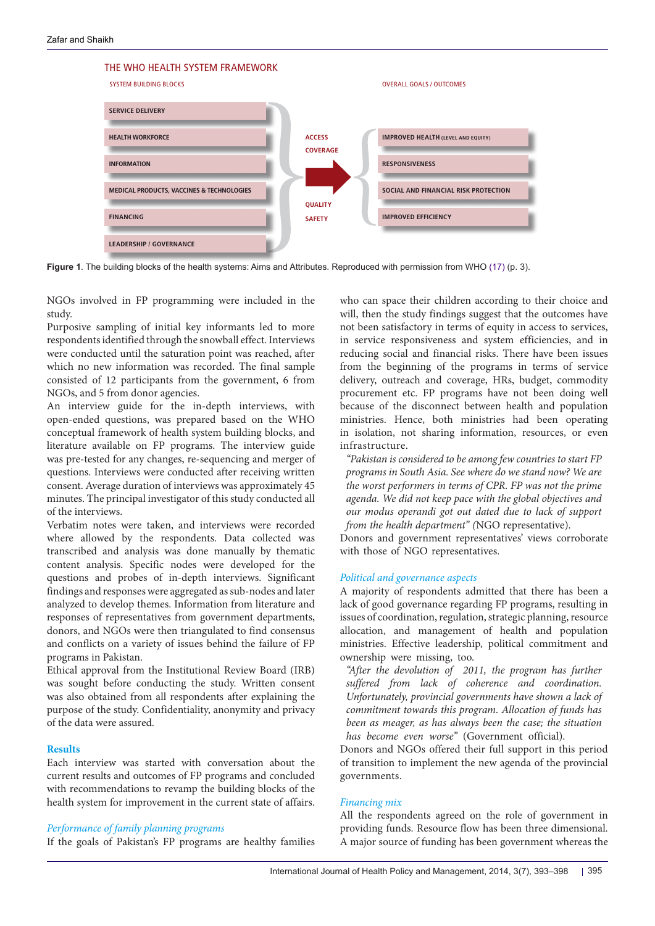<span id="page-2-0"></span>

 $\sim$  six building blocks of aims aims and desired at  $\sim$  and desired at  $\sim$  and desired at  $\sim$ **Figure 1**. The building blocks of the health systems: Aims and Attributes. Reproduced with permission from WHO [\(17](#page-5-8)) (p. 3).

NGOs involved in FP programming were included in the study. c in FP programming were included in th

Purposive sampling of initial key informants led to more respondents identified through the snowball effect. Interviews were conducted until the saturation point was reached, after which no new information was recorded. The final sample consisted of 12 participants from the government, 6 from NGOs, and 5 from donor agencies. milled infough the showball effect. Interview participants from the government, o from

An interview guide for the in-depth interviews, with open-ended questions, was prepared based on the WHO conceptual framework of health system building blocks, and literature available on FP programs. The interview guide was pre-tested for any changes, re-sequencing and merger of "Pakistan is cons questions. Interviews were conducted after receiving written programs in Sour consent. Average duration of interviews was approximately 45 *the worst perforn* minutes. The principal investigator of this study conducted all *agenda*. We did the of the interviews.  $\epsilon$  on  $\alpha$  programs, the interview guide and astrocentes,  $\epsilon$  were conducted after receiving whiteh  $\epsilon$  programs in South  $\epsilon$  $\mu$ a investigator of this study conducted an  $\mu$  are near  $\mu$ 

Verbatim notes were taken, and interviews were recorded where allowed by the respondents. Data collected was transcribed and analysis was done manually by thematic content analysis. Specific nodes were developed for the questions and probes of in-depth interviews. Significant findings and responses were aggregated as sub-nodes and later analyzed to develop themes. Information from literature and responses of representatives from government departments, donors, and NGOs were then triangulated to find consensus and conflicts on a variety of issues behind the failure of FP programs in Pakistan. y the respondents. Data collected was is Donors and gove

Ethical approval from the Institutional Review Board (IRB) was sought before conducting the study. Written consent was also obtained from all respondents after explaining the purpose of the study. Confidentiality, anonymity and privacy of the data were assured.

#### **Results**

Each interview was started with conversation about the current results and outcomes of FP programs and concluded with recommendations to revamp the building blocks of the health system for improvement in the current state of affairs.

### *Performance of family planning programs*

If the goals of Pakistan's FP programs are healthy families

who can space their children according to their choice and will, then the study findings suggest that the outcomes have not been satisfactory in terms of equity in access to services, in service responsiveness and system efficiencies, and in reducing social and financial risks. There have been issues from the beginning of the programs in terms of service delivery, outreach and coverage, HRs, budget, commodity procurement etc. FP programs have not been doing well because of the disconnect between health and population ministries. Hence, both ministries had been operating in isolation, not sharing information, resources, or even infrastructure. who can space their children according to in service responsiveness and system en delivery, outreach and coverage, riks, be

*"Pakistan is considered to be among few countries to start FP programs in South Asia. See where do we stand now? We are the worst performers in terms of CPR. FP was not the prime agenda. We did not keep pace with the global objectives and our modus operandi got out dated due to lack of support from the health department" (*NGO representative).

Donors and government representatives' views corroborate with those of NGO representatives.

# *Political and governance aspects*

A majority of respondents admitted that there has been a lack of good governance regarding FP programs, resulting in issues of coordination, regulation, strategic planning, resource allocation, and management of health and population ministries. Effective leadership, political commitment and ownership were missing, too.

*"After the devolution of 2011, the program has further suffered from lack of coherence and coordination. Unfortunately, provincial governments have shown a lack of commitment towards this program. Allocation of funds has been as meager, as has always been the case; the situation has become even worse"* (Government official).

Donors and NGOs offered their full support in this period of transition to implement the new agenda of the provincial governments.

#### *Financing mix*

All the respondents agreed on the role of government in providing funds. Resource flow has been three dimensional. A major source of funding has been government whereas the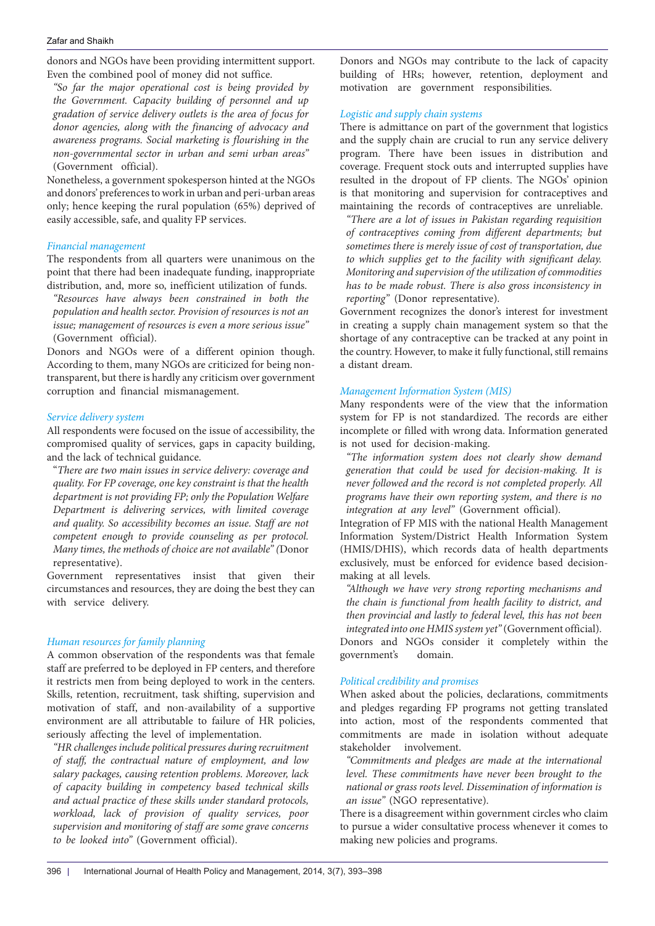donors and NGOs have been providing intermittent support. Even the combined pool of money did not suffice.

*"So far the major operational cost is being provided by the Government. Capacity building of personnel and up gradation of service delivery outlets is the area of focus for donor agencies, along with the financing of advocacy and awareness programs. Social marketing is flourishing in the non-governmental sector in urban and semi urban areas"*  (Government official).

Nonetheless, a government spokesperson hinted at the NGOs and donors' preferences to work in urban and peri-urban areas only; hence keeping the rural population (65%) deprived of easily accessible, safe, and quality FP services.

# *Financial management*

The respondents from all quarters were unanimous on the point that there had been inadequate funding, inappropriate distribution, and, more so, inefficient utilization of funds.

*"Resources have always been constrained in both the population and health sector. Provision of resources is not an issue; management of resources is even a more serious issue"*  (Government official).

Donors and NGOs were of a different opinion though. According to them, many NGOs are criticized for being nontransparent, but there is hardly any criticism over government corruption and financial mismanagement.

# *Service delivery system*

All respondents were focused on the issue of accessibility, the compromised quality of services, gaps in capacity building, and the lack of technical guidance.

"*There are two main issues in service delivery: coverage and quality. For FP coverage, one key constraint is that the health department is not providing FP; only the Population Welfare Department is delivering services, with limited coverage and quality. So accessibility becomes an issue. Staff are not competent enough to provide counseling as per protocol. Many times, the methods of choice are not available" (*Donor representative).

Government representatives insist that given their circumstances and resources, they are doing the best they can with service delivery.

# *Human resources for family planning*

A common observation of the respondents was that female staff are preferred to be deployed in FP centers, and therefore it restricts men from being deployed to work in the centers. Skills, retention, recruitment, task shifting, supervision and motivation of staff, and non-availability of a supportive environment are all attributable to failure of HR policies, seriously affecting the level of implementation.

*"HR challenges include political pressures during recruitment of staff, the contractual nature of employment, and low salary packages, causing retention problems. Moreover, lack of capacity building in competency based technical skills and actual practice of these skills under standard protocols, workload, lack of provision of quality services, poor supervision and monitoring of staff are some grave concerns to be looked into"* (Government official).

Donors and NGOs may contribute to the lack of capacity building of HRs; however, retention, deployment and motivation are government responsibilities.

# *Logistic and supply chain systems*

There is admittance on part of the government that logistics and the supply chain are crucial to run any service delivery program. There have been issues in distribution and coverage. Frequent stock outs and interrupted supplies have resulted in the dropout of FP clients. The NGOs' opinion is that monitoring and supervision for contraceptives and maintaining the records of contraceptives are unreliable.

*"There are a lot of issues in Pakistan regarding requisition of contraceptives coming from different departments; but sometimes there is merely issue of cost of transportation, due to which supplies get to the facility with significant delay. Monitoring and supervision of the utilization of commodities has to be made robust. There is also gross inconsistency in reporting"* (Donor representative).

Government recognizes the donor's interest for investment in creating a supply chain management system so that the shortage of any contraceptive can be tracked at any point in the country. However, to make it fully functional, still remains a distant dream.

# *Management Information System (MIS)*

Many respondents were of the view that the information system for FP is not standardized. The records are either incomplete or filled with wrong data. Information generated is not used for decision-making.

*"The information system does not clearly show demand generation that could be used for decision-making. It is never followed and the record is not completed properly. All programs have their own reporting system, and there is no integration at any level"* (Government official).

Integration of FP MIS with the national Health Management Information System/District Health Information System (HMIS/DHIS), which records data of health departments exclusively, must be enforced for evidence based decisionmaking at all levels.

*"Although we have very strong reporting mechanisms and the chain is functional from health facility to district, and then provincial and lastly to federal level, this has not been integrated into one HMIS system yet"* (Government official). Donors and NGOs consider it completely within the

government's domain.

# *Political credibility and promises*

When asked about the policies, declarations, commitments and pledges regarding FP programs not getting translated into action, most of the respondents commented that commitments are made in isolation without adequate stakeholder involvement.

*"Commitments and pledges are made at the international level. These commitments have never been brought to the national or grass roots level. Dissemination of information is an issue"* (NGO representative).

There is a disagreement within government circles who claim to pursue a wider consultative process whenever it comes to making new policies and programs.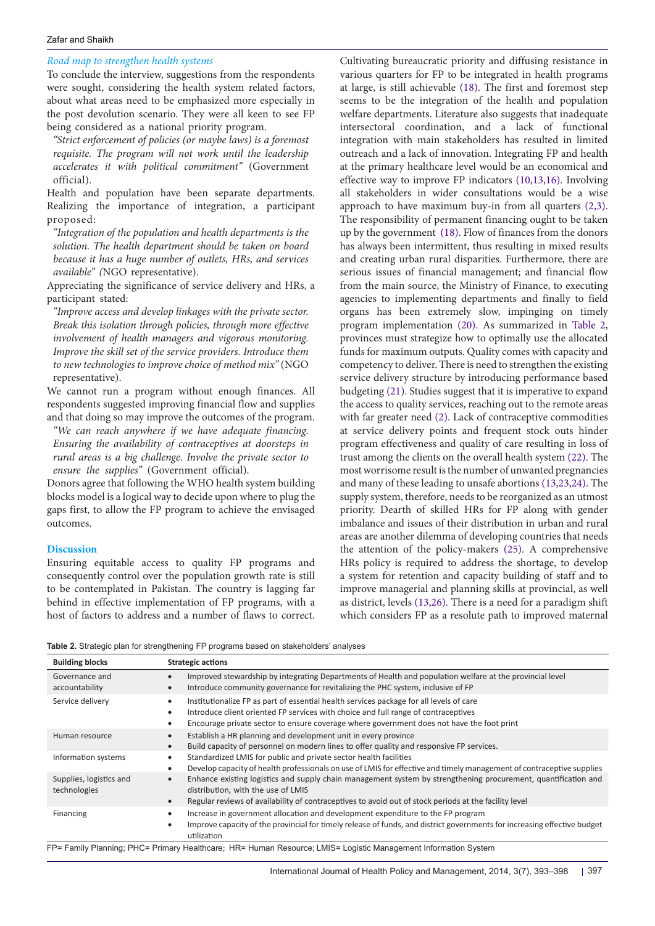#### Zafar and Shaikh

# *Road map to strengthen health systems*

To conclude the interview, suggestions from the respondents were sought, considering the health system related factors, about what areas need to be emphasized more especially in the post devolution scenario. They were all keen to see FP being considered as a national priority program.

*"Strict enforcement of policies (or maybe laws) is a foremost requisite. The program will not work until the leadership accelerates it with political commitment"* (Government official).

Health and population have been separate departments. Realizing the importance of integration, a participant proposed:

*"Integration of the population and health departments is the solution. The health department should be taken on board because it has a huge number of outlets, HRs, and services available" (*NGO representative).

Appreciating the significance of service delivery and HRs, a participant stated:

*"Improve access and develop linkages with the private sector. Break this isolation through policies, through more effective involvement of health managers and vigorous monitoring. Improve the skill set of the service providers. Introduce them to new technologies to improve choice of method mix"* (NGO representative).

We cannot run a program without enough finances. All respondents suggested improving financial flow and supplies and that doing so may improve the outcomes of the program.

*"We can reach anywhere if we have adequate financing. Ensuring the availability of contraceptives at doorsteps in rural areas is a big challenge. Involve the private sector to ensure the supplies"* (Government official).

Donors agree that following the WHO health system building blocks model is a logical way to decide upon where to plug the gaps first, to allow the FP program to achieve the envisaged outcomes.

# **Discussion**

Ensuring equitable access to quality FP programs and consequently control over the population growth rate is still to be contemplated in Pakistan. The country is lagging far behind in effective implementation of FP programs, with a host of factors to address and a number of flaws to correct.

Cultivating bureaucratic priority and diffusing resistance in various quarters for FP to be integrated in health programs at large, is still achievable [\(18\)](#page-5-17). The first and foremost step seems to be the integration of the health and population welfare departments. Literature also suggests that inadequate intersectoral coordination, and a lack of functional integration with main stakeholders has resulted in limited outreach and a lack of innovation. Integrating FP and health at the primary healthcare level would be an economical and effective way to improve FP indicators ([10](#page-5-16)[,13](#page-5-3)[,16\)](#page-5-7). Involving all stakeholders in wider consultations would be a wise approach to have maximum buy-in from all quarters [\(2](#page-5-9)[,3](#page-5-10)). The responsibility of permanent financing ought to be taken up by the government ([18](#page-5-17)). Flow of finances from the donors has always been intermittent, thus resulting in mixed results and creating urban rural disparities. Furthermore, there are serious issues of financial management; and financial flow from the main source, the Ministry of Finance, to executing agencies to implementing departments and finally to field organs has been extremely slow, impinging on timely program implementation [\(20](#page-5-18)). As summarized in [Table 2](#page-4-0), provinces must strategize how to optimally use the allocated funds for maximum outputs. Quality comes with capacity and competency to deliver. There is need to strengthen the existing service delivery structure by introducing performance based budgeting ([21](#page-5-19)). Studies suggest that it is imperative to expand the access to quality services, reaching out to the remote areas with far greater need ([2\)](#page-5-9). Lack of contraceptive commodities at service delivery points and frequent stock outs hinder program effectiveness and quality of care resulting in loss of trust among the clients on the overall health system [\(22](#page-5-20)). The most worrisome result is the number of unwanted pregnancies and many of these leading to unsafe abortions ([13,](#page-5-3)[23](#page-5-21),[24](#page-5-22)). The supply system, therefore, needs to be reorganized as an utmost priority. Dearth of skilled HRs for FP along with gender imbalance and issues of their distribution in urban and rural areas are another dilemma of developing countries that needs the attention of the policy-makers [\(25\)](#page-5-23). A comprehensive HRs policy is required to address the shortage, to develop a system for retention and capacity building of staff and to improve managerial and planning skills at provincial, as well as district, levels [\(13](#page-5-3)[,26\)](#page-5-24). There is a need for a paradigm shift which considers FP as a resolute path to improved maternal

<span id="page-4-0"></span>**Table 2.** Strategic plan for strengthening FP programs based on stakeholders' analyses

| <b>Building blocks</b>                  | <b>Strategic actions</b>                                                                                                                                                                                                                                                             |  |  |  |  |
|-----------------------------------------|--------------------------------------------------------------------------------------------------------------------------------------------------------------------------------------------------------------------------------------------------------------------------------------|--|--|--|--|
| Governance and<br>accountability        | Improved stewardship by integrating Departments of Health and population welfare at the provincial level<br>$\bullet$<br>Introduce community governance for revitalizing the PHC system, inclusive of FP<br>$\bullet$                                                                |  |  |  |  |
| Service delivery                        | Institutionalize FP as part of essential health services package for all levels of care<br>٠<br>Introduce client oriented FP services with choice and full range of contraceptives<br>٠<br>Encourage private sector to ensure coverage where government does not have the foot print |  |  |  |  |
| Human resource                          | Establish a HR planning and development unit in every province<br>$\bullet$<br>Build capacity of personnel on modern lines to offer quality and responsive FP services.<br>$\bullet$                                                                                                 |  |  |  |  |
| Information systems                     | Standardized LMIS for public and private sector health facilities<br>٠<br>Develop capacity of health professionals on use of LMIS for effective and timely management of contraceptive supplies<br>٠                                                                                 |  |  |  |  |
| Supplies, logistics and<br>technologies | Enhance existing logistics and supply chain management system by strengthening procurement, quantification and<br>$\bullet$<br>distribution, with the use of LMIS<br>Regular reviews of availability of contraceptives to avoid out of stock periods at the facility level           |  |  |  |  |
| Financing                               | Increase in government allocation and development expenditure to the FP program<br>٠<br>Improve capacity of the provincial for timely release of funds, and district governments for increasing effective budget<br>utilization                                                      |  |  |  |  |

FP= Family Planning; PHC= Primary Healthcare; HR= Human Resource; LMIS= Logistic Management Information System